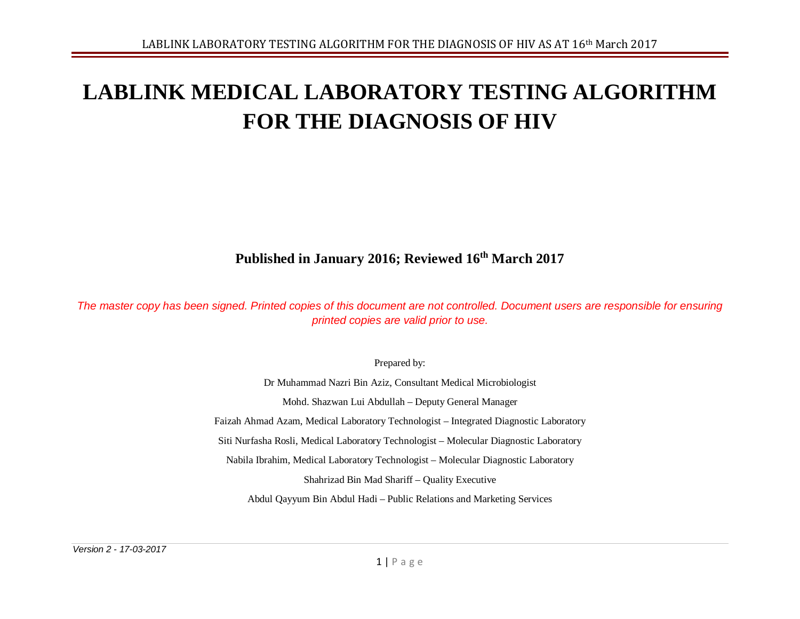# **LABLINK MEDICAL LABORATORY TESTING ALGORITHM FOR THE DIAGNOSIS OF HIV**

## **Published in January 2016; Reviewed 16th March 2017**

*The master copy has been signed. Printed copies of this document are not controlled. Document users are responsible for ensuring printed copies are valid prior to use.*

Prepared by:

Dr Muhammad Nazri Bin Aziz, Consultant Medical Microbiologist Mohd. Shazwan Lui Abdullah – Deputy General Manager Faizah Ahmad Azam, Medical Laboratory Technologist – Integrated Diagnostic Laboratory Siti Nurfasha Rosli, Medical Laboratory Technologist – Molecular Diagnostic Laboratory Nabila Ibrahim, Medical Laboratory Technologist – Molecular Diagnostic Laboratory Shahrizad Bin Mad Shariff – Quality Executive Abdul Qayyum Bin Abdul Hadi – Public Relations and Marketing Services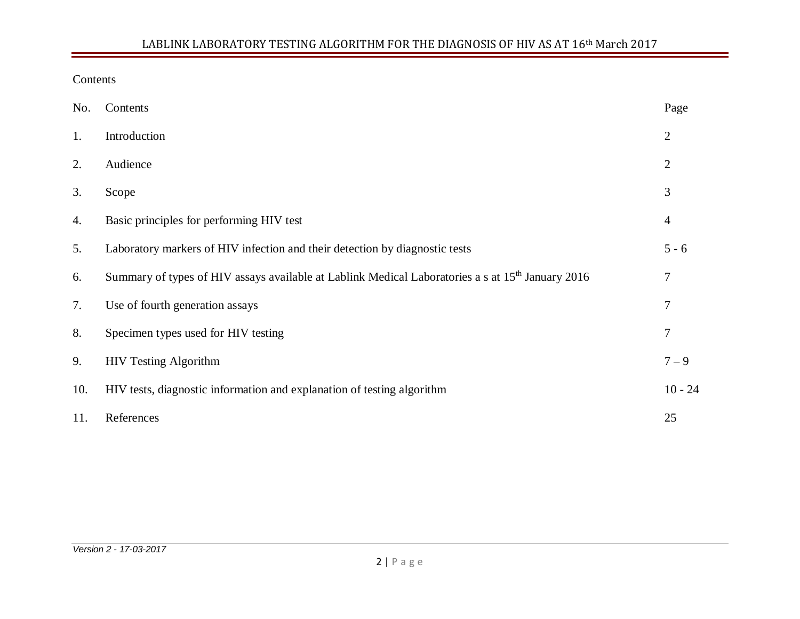#### Contents

| No. | Contents                                                                                                      | Page           |
|-----|---------------------------------------------------------------------------------------------------------------|----------------|
| 1.  | Introduction                                                                                                  | $\overline{2}$ |
| 2.  | Audience                                                                                                      | $\overline{2}$ |
| 3.  | Scope                                                                                                         | 3              |
| 4.  | Basic principles for performing HIV test                                                                      | $\overline{4}$ |
| 5.  | Laboratory markers of HIV infection and their detection by diagnostic tests                                   | $5 - 6$        |
| 6.  | Summary of types of HIV assays available at Lablink Medical Laboratories a s at 15 <sup>th</sup> January 2016 | 7              |
| 7.  | Use of fourth generation assays                                                                               | 7              |
| 8.  | Specimen types used for HIV testing                                                                           | 7              |
| 9.  | <b>HIV Testing Algorithm</b>                                                                                  | $7 - 9$        |
| 10. | HIV tests, diagnostic information and explanation of testing algorithm                                        | $10 - 24$      |
| 11. | References                                                                                                    | 25             |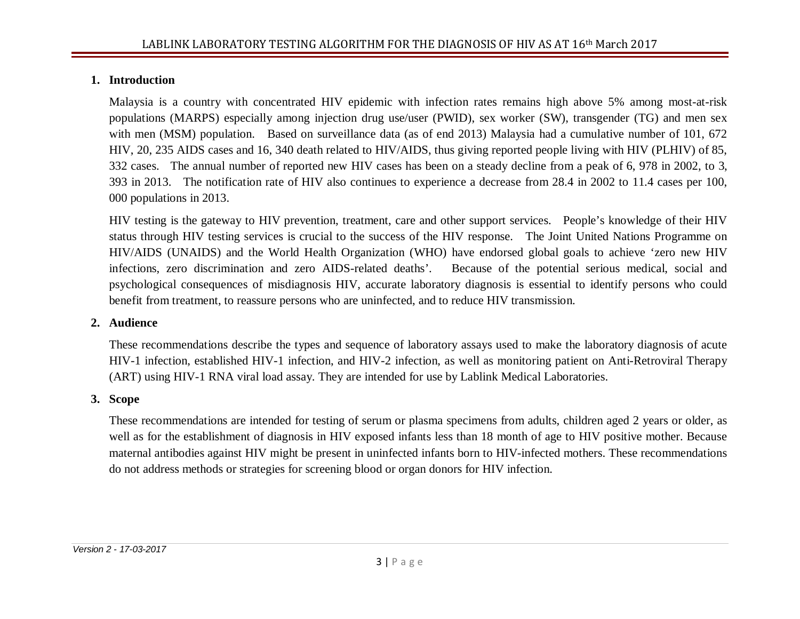## **1. Introduction**

Malaysia is a country with concentrated HIV epidemic with infection rates remains high above 5% among most-at-risk populations (MARPS) especially among injection drug use/user (PWID), sex worker (SW), transgender (TG) and men sex with men (MSM) population. Based on surveillance data (as of end 2013) Malaysia had a cumulative number of 101, 672 HIV, 20, 235 AIDS cases and 16, 340 death related to HIV/AIDS, thus giving reported people living with HIV (PLHIV) of 85, 332 cases. The annual number of reported new HIV cases has been on a steady decline from a peak of 6, 978 in 2002, to 3, 393 in 2013. The notification rate of HIV also continues to experience a decrease from 28.4 in 2002 to 11.4 cases per 100, 000 populations in 2013.

HIV testing is the gateway to HIV prevention, treatment, care and other support services. People's knowledge of their HIV status through HIV testing services is crucial to the success of the HIV response. The Joint United Nations Programme on HIV/AIDS (UNAIDS) and the World Health Organization (WHO) have endorsed global goals to achieve 'zero new HIV infections, zero discrimination and zero AIDS-related deaths'. Because of the potential serious medical, social and psychological consequences of misdiagnosis HIV, accurate laboratory diagnosis is essential to identify persons who could benefit from treatment, to reassure persons who are uninfected, and to reduce HIV transmission.

## **2. Audience**

These recommendations describe the types and sequence of laboratory assays used to make the laboratory diagnosis of acute HIV-1 infection, established HIV-1 infection, and HIV-2 infection, as well as monitoring patient on Anti-Retroviral Therapy (ART) using HIV-1 RNA viral load assay. They are intended for use by Lablink Medical Laboratories.

## **3. Scope**

These recommendations are intended for testing of serum or plasma specimens from adults, children aged 2 years or older, as well as for the establishment of diagnosis in HIV exposed infants less than 18 month of age to HIV positive mother. Because maternal antibodies against HIV might be present in uninfected infants born to HIV-infected mothers. These recommendations do not address methods or strategies for screening blood or organ donors for HIV infection.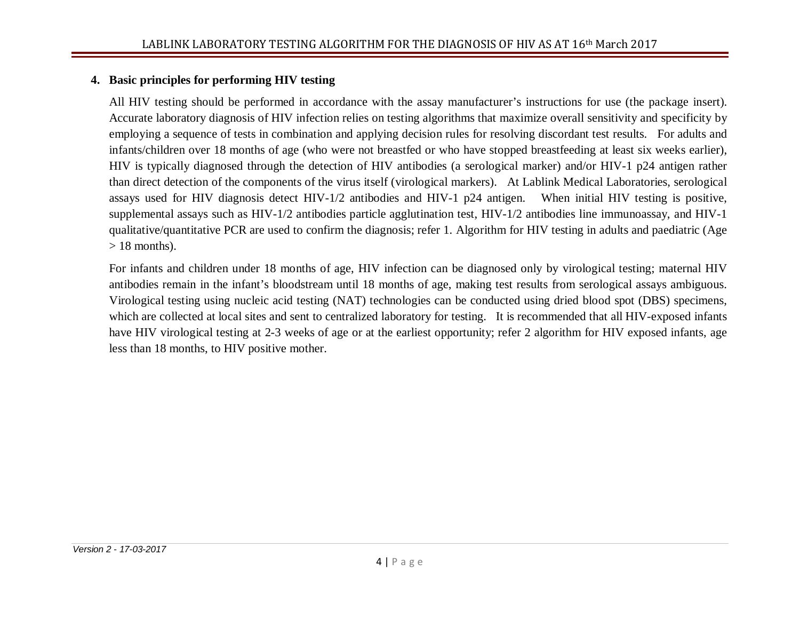## **4. Basic principles for performing HIV testing**

All HIV testing should be performed in accordance with the assay manufacturer's instructions for use (the package insert). Accurate laboratory diagnosis of HIV infection relies on testing algorithms that maximize overall sensitivity and specificity by employing a sequence of tests in combination and applying decision rules for resolving discordant test results. For adults and infants/children over 18 months of age (who were not breastfed or who have stopped breastfeeding at least six weeks earlier), HIV is typically diagnosed through the detection of HIV antibodies (a serological marker) and/or HIV-1 p24 antigen rather than direct detection of the components of the virus itself (virological markers). At Lablink Medical Laboratories, serological assays used for HIV diagnosis detect HIV-1/2 antibodies and HIV-1 p24 antigen. When initial HIV testing is positive, supplemental assays such as HIV-1/2 antibodies particle agglutination test, HIV-1/2 antibodies line immunoassay, and HIV-1 qualitative/quantitative PCR are used to confirm the diagnosis; refer 1. Algorithm for HIV testing in adults and paediatric (Age  $> 18$  months).

For infants and children under 18 months of age, HIV infection can be diagnosed only by virological testing; maternal HIV antibodies remain in the infant's bloodstream until 18 months of age, making test results from serological assays ambiguous. Virological testing using nucleic acid testing (NAT) technologies can be conducted using dried blood spot (DBS) specimens, which are collected at local sites and sent to centralized laboratory for testing. It is recommended that all HIV-exposed infants have HIV virological testing at 2-3 weeks of age or at the earliest opportunity; refer 2 algorithm for HIV exposed infants, age less than 18 months, to HIV positive mother.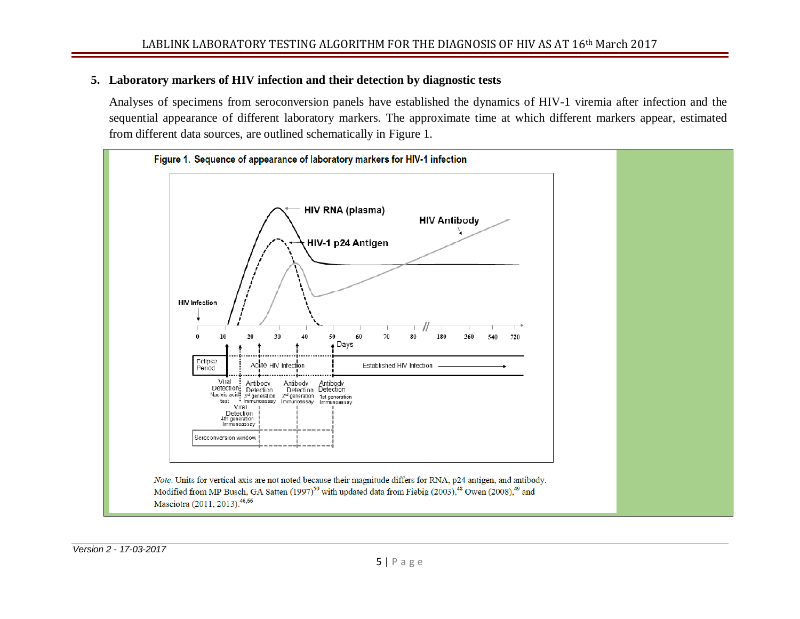#### **5. Laboratory markers of HIV infection and their detection by diagnostic tests**

Analyses of specimens from seroconversion panels have established the dynamics of HIV-1 viremia after infection and the sequential appearance of different laboratory markers. The approximate time at which different markers appear, estimated from different data sources, are outlined schematically in Figure 1.

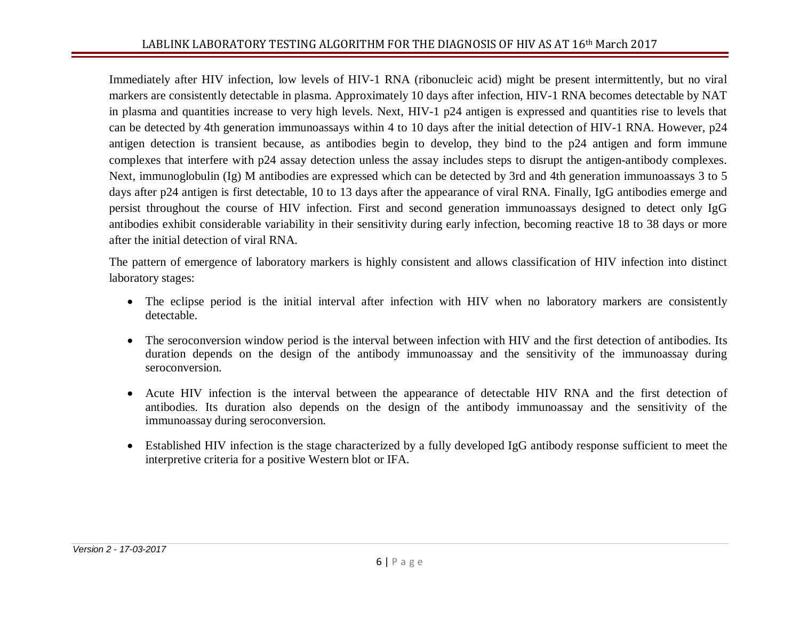Immediately after HIV infection, low levels of HIV-1 RNA (ribonucleic acid) might be present intermittently, but no viral markers are consistently detectable in plasma. Approximately 10 days after infection, HIV-1 RNA becomes detectable by NAT in plasma and quantities increase to very high levels. Next, HIV-1 p24 antigen is expressed and quantities rise to levels that can be detected by 4th generation immunoassays within 4 to 10 days after the initial detection of HIV-1 RNA. However, p24 antigen detection is transient because, as antibodies begin to develop, they bind to the p24 antigen and form immune complexes that interfere with p24 assay detection unless the assay includes steps to disrupt the antigen-antibody complexes. Next, immunoglobulin (Ig) M antibodies are expressed which can be detected by 3rd and 4th generation immunoassays 3 to 5 days after p24 antigen is first detectable, 10 to 13 days after the appearance of viral RNA. Finally, IgG antibodies emerge and persist throughout the course of HIV infection. First and second generation immunoassays designed to detect only IgG antibodies exhibit considerable variability in their sensitivity during early infection, becoming reactive 18 to 38 days or more after the initial detection of viral RNA.

The pattern of emergence of laboratory markers is highly consistent and allows classification of HIV infection into distinct laboratory stages:

- The eclipse period is the initial interval after infection with HIV when no laboratory markers are consistently detectable.
- The seroconversion window period is the interval between infection with HIV and the first detection of antibodies. Its duration depends on the design of the antibody immunoassay and the sensitivity of the immunoassay during seroconversion.
- Acute HIV infection is the interval between the appearance of detectable HIV RNA and the first detection of antibodies. Its duration also depends on the design of the antibody immunoassay and the sensitivity of the immunoassay during seroconversion.
- Established HIV infection is the stage characterized by a fully developed IgG antibody response sufficient to meet the interpretive criteria for a positive Western blot or IFA.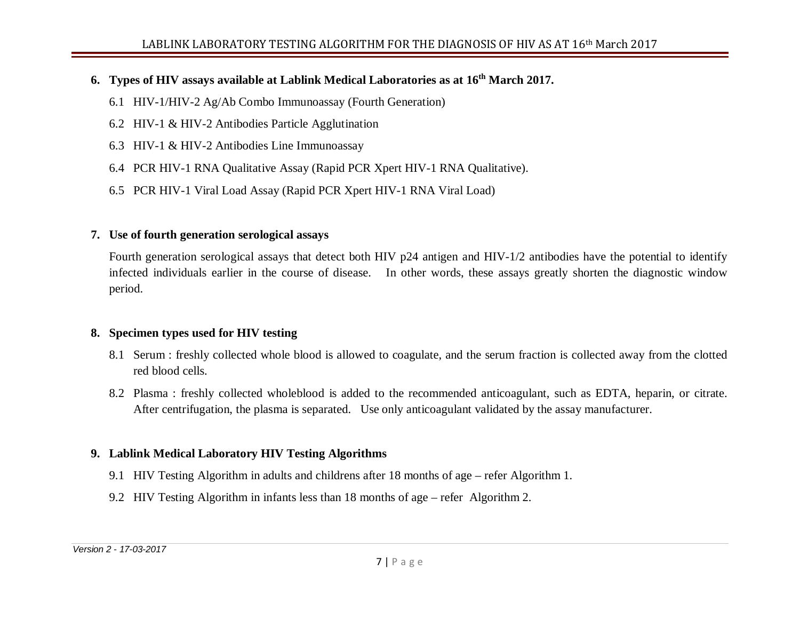## **6. Types of HIV assays available at Lablink Medical Laboratories as at 16th March 2017.**

- 6.1 HIV-1/HIV-2 Ag/Ab Combo Immunoassay (Fourth Generation)
- 6.2 HIV-1 & HIV-2 Antibodies Particle Agglutination
- 6.3 HIV-1 & HIV-2 Antibodies Line Immunoassay
- 6.4 PCR HIV-1 RNA Qualitative Assay (Rapid PCR Xpert HIV-1 RNA Qualitative).
- 6.5 PCR HIV-1 Viral Load Assay (Rapid PCR Xpert HIV-1 RNA Viral Load)

#### **7. Use of fourth generation serological assays**

Fourth generation serological assays that detect both HIV p24 antigen and HIV-1/2 antibodies have the potential to identify infected individuals earlier in the course of disease. In other words, these assays greatly shorten the diagnostic window period.

## **8. Specimen types used for HIV testing**

- 8.1 Serum : freshly collected whole blood is allowed to coagulate, and the serum fraction is collected away from the clotted red blood cells.
- 8.2 Plasma : freshly collected wholeblood is added to the recommended anticoagulant, such as EDTA, heparin, or citrate. After centrifugation, the plasma is separated. Use only anticoagulant validated by the assay manufacturer.

## **9. Lablink Medical Laboratory HIV Testing Algorithms**

- 9.1 HIV Testing Algorithm in adults and childrens after 18 months of age refer Algorithm 1.
- 9.2 HIV Testing Algorithm in infants less than 18 months of age refer Algorithm 2.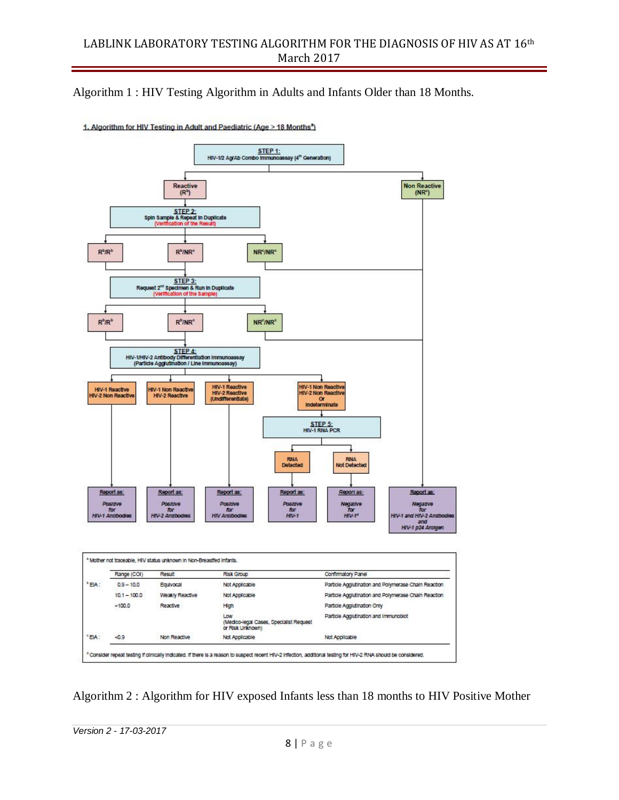Algorithm 1 : HIV Testing Algorithm in Adults and Infants Older than 18 Months.



1. Algorithm for HIV Testing in Adult and Paediatric (Age > 18 Months<sup>a</sup>)

Algorithm 2 : Algorithm for HIV exposed Infants less than 18 months to HIV Positive Mother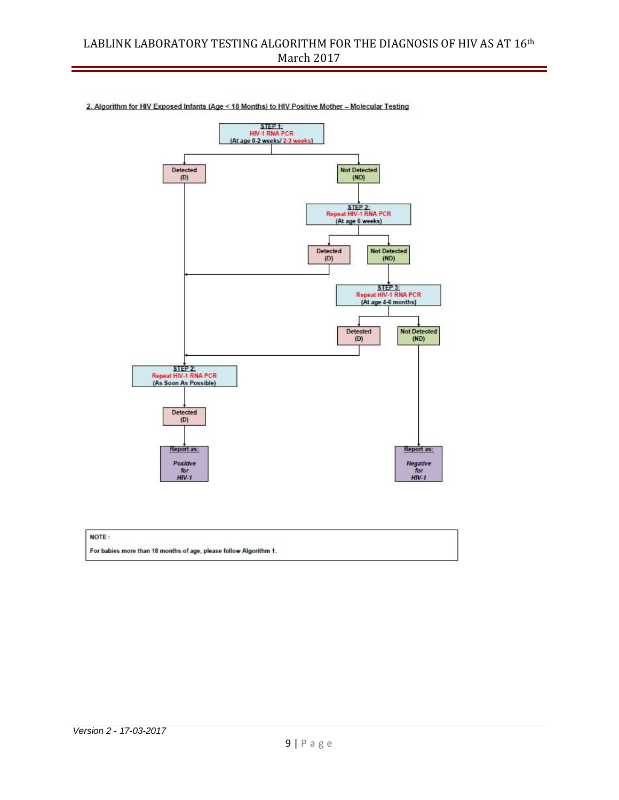

2. Algorithm for HIV Exposed Infants (Age < 18 Months) to HIV Positive Mother - Molecular Testing

#### NOTE:

| For babies more than 18 months of age, please follow Algorithm 1. |  |
|-------------------------------------------------------------------|--|
|                                                                   |  |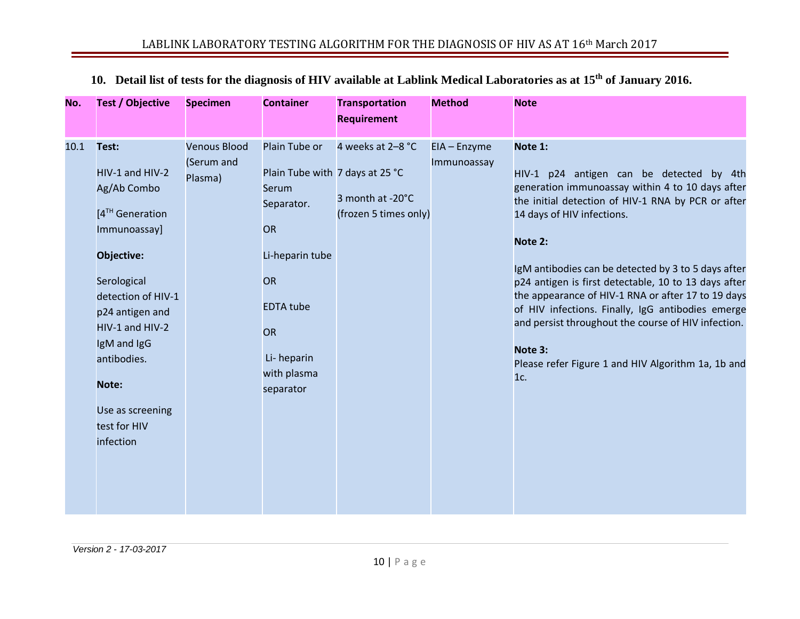| No.  | <b>Test / Objective</b>                                                                                                                                                                                       | <b>Specimen</b>                              | <b>Container</b>                                                                                                                                              | <b>Transportation</b>                                          | <b>Method</b>               | <b>Note</b>                                                                                                                                                                                                                                                                                                                                                                                                                                                                                                                                                     |
|------|---------------------------------------------------------------------------------------------------------------------------------------------------------------------------------------------------------------|----------------------------------------------|---------------------------------------------------------------------------------------------------------------------------------------------------------------|----------------------------------------------------------------|-----------------------------|-----------------------------------------------------------------------------------------------------------------------------------------------------------------------------------------------------------------------------------------------------------------------------------------------------------------------------------------------------------------------------------------------------------------------------------------------------------------------------------------------------------------------------------------------------------------|
|      |                                                                                                                                                                                                               |                                              |                                                                                                                                                               | <b>Requirement</b>                                             |                             |                                                                                                                                                                                                                                                                                                                                                                                                                                                                                                                                                                 |
|      |                                                                                                                                                                                                               |                                              |                                                                                                                                                               |                                                                |                             |                                                                                                                                                                                                                                                                                                                                                                                                                                                                                                                                                                 |
| 10.1 | Test:<br>HIV-1 and HIV-2<br>Ag/Ab Combo<br>[4 <sup>TH</sup> Generation<br>Immunoassay]<br>Objective:<br>Serological<br>detection of HIV-1<br>p24 antigen and<br>HIV-1 and HIV-2<br>IgM and IgG<br>antibodies. | <b>Venous Blood</b><br>(Serum and<br>Plasma) | Plain Tube or<br>Plain Tube with 7 days at 25 °C<br>Serum<br>Separator.<br>OR<br>Li-heparin tube<br>OR<br><b>EDTA</b> tube<br>OR<br>Li-heparin<br>with plasma | 4 weeks at 2-8 °C<br>3 month at -20°C<br>(frozen 5 times only) | EIA - Enzyme<br>Immunoassay | Note 1:<br>HIV-1 p24 antigen can be detected by 4th<br>generation immunoassay within 4 to 10 days after<br>the initial detection of HIV-1 RNA by PCR or after<br>14 days of HIV infections.<br>Note 2:<br>IgM antibodies can be detected by 3 to 5 days after<br>p24 antigen is first detectable, 10 to 13 days after<br>the appearance of HIV-1 RNA or after 17 to 19 days<br>of HIV infections. Finally, IgG antibodies emerge<br>and persist throughout the course of HIV infection.<br>Note 3:<br>Please refer Figure 1 and HIV Algorithm 1a, 1b and<br>1c. |
|      | Note:                                                                                                                                                                                                         |                                              | separator                                                                                                                                                     |                                                                |                             |                                                                                                                                                                                                                                                                                                                                                                                                                                                                                                                                                                 |
|      | Use as screening<br>test for HIV                                                                                                                                                                              |                                              |                                                                                                                                                               |                                                                |                             |                                                                                                                                                                                                                                                                                                                                                                                                                                                                                                                                                                 |
|      | infection                                                                                                                                                                                                     |                                              |                                                                                                                                                               |                                                                |                             |                                                                                                                                                                                                                                                                                                                                                                                                                                                                                                                                                                 |

## **10. Detail list of tests for the diagnosis of HIV available at Lablink Medical Laboratories as at 15th of January 2016.**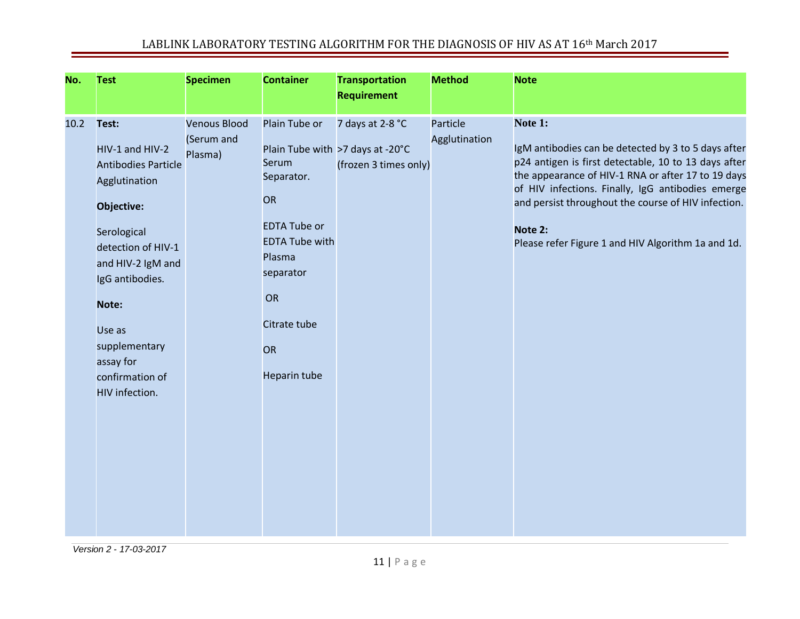| No.  | <b>Test</b>                                                                                                                                                                                                                                              | <b>Specimen</b>                              | <b>Container</b>                                                                                                                                                            | <b>Transportation</b><br><b>Requirement</b>                                   | <b>Method</b>             | <b>Note</b>                                                                                                                                                                                                                                                                                                                                               |
|------|----------------------------------------------------------------------------------------------------------------------------------------------------------------------------------------------------------------------------------------------------------|----------------------------------------------|-----------------------------------------------------------------------------------------------------------------------------------------------------------------------------|-------------------------------------------------------------------------------|---------------------------|-----------------------------------------------------------------------------------------------------------------------------------------------------------------------------------------------------------------------------------------------------------------------------------------------------------------------------------------------------------|
| 10.2 | Test:<br>HIV-1 and HIV-2<br><b>Antibodies Particle</b><br>Agglutination<br>Objective:<br>Serological<br>detection of HIV-1<br>and HIV-2 IgM and<br>IgG antibodies.<br>Note:<br>Use as<br>supplementary<br>assay for<br>confirmation of<br>HIV infection. | <b>Venous Blood</b><br>(Serum and<br>Plasma) | Plain Tube or<br>Serum<br>Separator.<br><b>OR</b><br><b>EDTA Tube or</b><br><b>EDTA Tube with</b><br>Plasma<br>separator<br>OR<br>Citrate tube<br><b>OR</b><br>Heparin tube | 7 days at 2-8 °C<br>Plain Tube with >7 days at -20°C<br>(frozen 3 times only) | Particle<br>Agglutination | Note 1:<br>IgM antibodies can be detected by 3 to 5 days after<br>p24 antigen is first detectable, 10 to 13 days after<br>the appearance of HIV-1 RNA or after 17 to 19 days<br>of HIV infections. Finally, IgG antibodies emerge<br>and persist throughout the course of HIV infection.<br>Note 2:<br>Please refer Figure 1 and HIV Algorithm 1a and 1d. |

*Version 2 - 17-03-2017*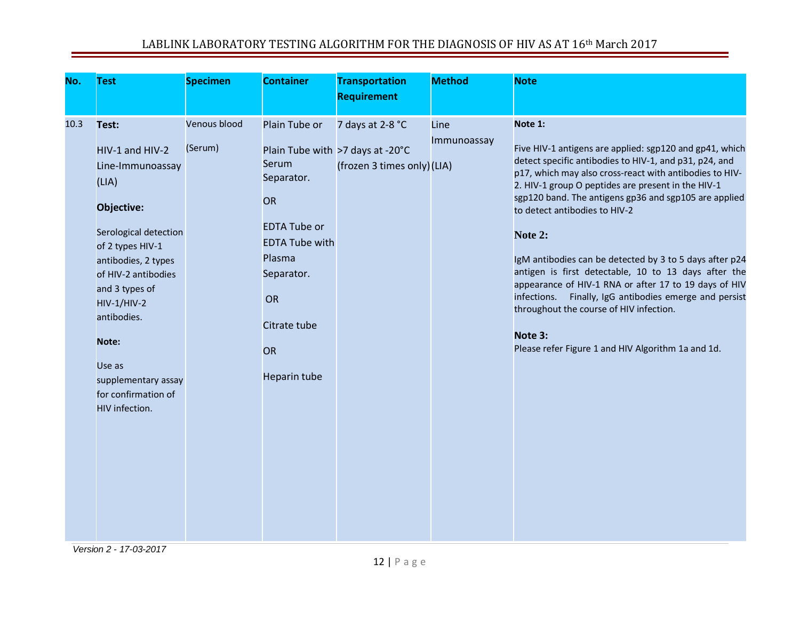| No.  | <b>Test</b>                                                                                                                                                                                                                                                                                              | <b>Specimen</b>         | <b>Container</b>                                                                                                                                               | <b>Transportation</b><br><b>Requirement</b>                                         | <b>Method</b>       | <b>Note</b>                                                                                                                                                                                                                                                                                                                                                                                                                                                                                                                                                                                                                                                                                             |
|------|----------------------------------------------------------------------------------------------------------------------------------------------------------------------------------------------------------------------------------------------------------------------------------------------------------|-------------------------|----------------------------------------------------------------------------------------------------------------------------------------------------------------|-------------------------------------------------------------------------------------|---------------------|---------------------------------------------------------------------------------------------------------------------------------------------------------------------------------------------------------------------------------------------------------------------------------------------------------------------------------------------------------------------------------------------------------------------------------------------------------------------------------------------------------------------------------------------------------------------------------------------------------------------------------------------------------------------------------------------------------|
| 10.3 | Test:<br>HIV-1 and HIV-2<br>Line-Immunoassay<br>(LIA)<br>Objective:<br>Serological detection<br>of 2 types HIV-1<br>antibodies, 2 types<br>of HIV-2 antibodies<br>and 3 types of<br><b>HIV-1/HIV-2</b><br>antibodies.<br>Note:<br>Use as<br>supplementary assay<br>for confirmation of<br>HIV infection. | Venous blood<br>(Serum) | Plain Tube or<br>Serum<br>Separator.<br>OR<br><b>EDTA Tube or</b><br><b>EDTA Tube with</b><br>Plasma<br>Separator.<br>OR<br>Citrate tube<br>OR<br>Heparin tube | 7 days at 2-8 °C<br>Plain Tube with >7 days at -20°C<br>(frozen 3 times only) (LIA) | Line<br>Immunoassay | Note 1:<br>Five HIV-1 antigens are applied: sgp120 and gp41, which<br>detect specific antibodies to HIV-1, and p31, p24, and<br>p17, which may also cross-react with antibodies to HIV-<br>2. HIV-1 group O peptides are present in the HIV-1<br>sgp120 band. The antigens gp36 and sgp105 are applied<br>to detect antibodies to HIV-2<br>Note 2:<br>IgM antibodies can be detected by 3 to 5 days after p24<br>antigen is first detectable, 10 to 13 days after the<br>appearance of HIV-1 RNA or after 17 to 19 days of HIV<br>Finally, IgG antibodies emerge and persist<br>infections.<br>throughout the course of HIV infection.<br>Note 3:<br>Please refer Figure 1 and HIV Algorithm 1a and 1d. |

*Version 2 - 17-03-2017*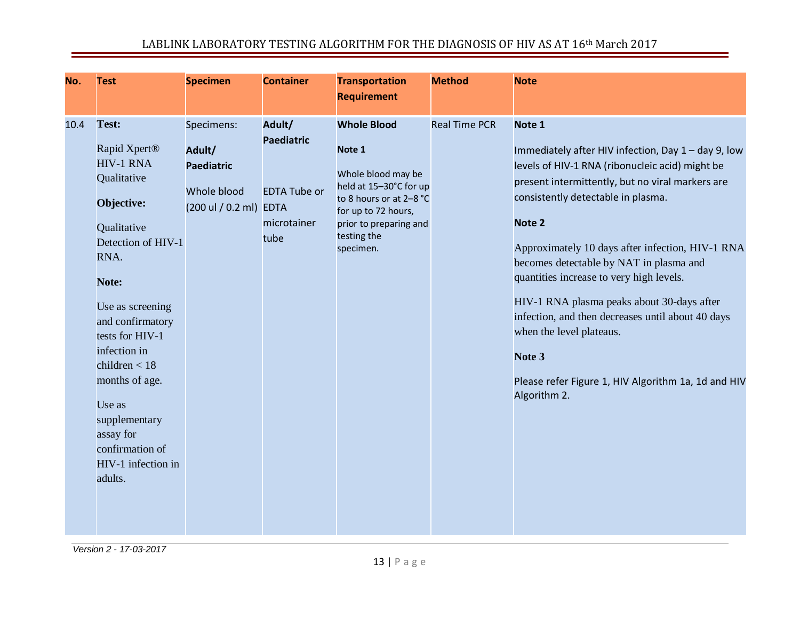| No.  | <b>Test</b>                                                                                                                                                                                                                                                                                                                                          | <b>Specimen</b>                                                               | <b>Container</b>                                                                         | <b>Transportation</b><br><b>Requirement</b>                                                                                                                                          | <b>Method</b>        | <b>Note</b>                                                                                                                                                                                                                                                                                                                                                                                                                                                                                                                                                                     |
|------|------------------------------------------------------------------------------------------------------------------------------------------------------------------------------------------------------------------------------------------------------------------------------------------------------------------------------------------------------|-------------------------------------------------------------------------------|------------------------------------------------------------------------------------------|--------------------------------------------------------------------------------------------------------------------------------------------------------------------------------------|----------------------|---------------------------------------------------------------------------------------------------------------------------------------------------------------------------------------------------------------------------------------------------------------------------------------------------------------------------------------------------------------------------------------------------------------------------------------------------------------------------------------------------------------------------------------------------------------------------------|
| 10.4 | Test:<br>Rapid Xpert <sup>®</sup><br><b>HIV-1 RNA</b><br>Qualitative<br>Objective:<br>Qualitative<br>Detection of HIV-1<br>RNA.<br>Note:<br>Use as screening<br>and confirmatory<br>tests for HIV-1<br>infection in<br>children $<$ 18<br>months of age.<br>Use as<br>supplementary<br>assay for<br>confirmation of<br>HIV-1 infection in<br>adults. | Specimens:<br>Adult/<br><b>Paediatric</b><br>Whole blood<br>(200 ul / 0.2 ml) | Adult/<br><b>Paediatric</b><br><b>EDTA Tube or</b><br><b>EDTA</b><br>microtainer<br>tube | <b>Whole Blood</b><br>Note 1<br>Whole blood may be<br>held at 15-30°C for up<br>to 8 hours or at 2-8 °C<br>for up to 72 hours,<br>prior to preparing and<br>testing the<br>specimen. | <b>Real Time PCR</b> | Note 1<br>Immediately after HIV infection, Day 1 - day 9, low<br>levels of HIV-1 RNA (ribonucleic acid) might be<br>present intermittently, but no viral markers are<br>consistently detectable in plasma.<br>Note 2<br>Approximately 10 days after infection, HIV-1 RNA<br>becomes detectable by NAT in plasma and<br>quantities increase to very high levels.<br>HIV-1 RNA plasma peaks about 30-days after<br>infection, and then decreases until about 40 days<br>when the level plateaus.<br>Note 3<br>Please refer Figure 1, HIV Algorithm 1a, 1d and HIV<br>Algorithm 2. |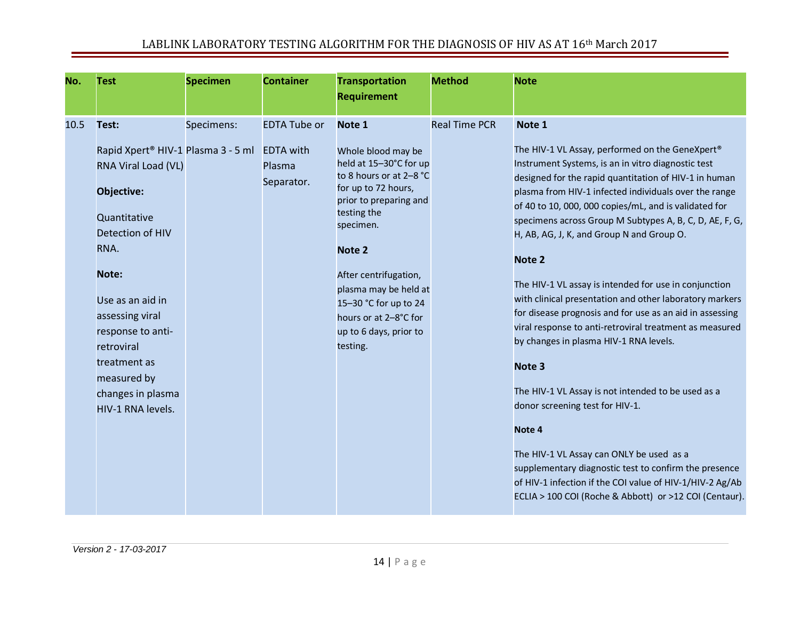| No.  | <b>Test</b>                                                                                                                                                                                                                                                                                          | <b>Specimen</b> | <b>Container</b>                                                | <b>Transportation</b><br><b>Requirement</b>                                                                                                                                                                                                                                                                        | <b>Method</b>        | <b>Note</b>                                                                                                                                                                                                                                                                                                                                                                                                                                                                                                                                                                                                                                                                                                                                                                                                                                                                                                                                                                                                                                                      |
|------|------------------------------------------------------------------------------------------------------------------------------------------------------------------------------------------------------------------------------------------------------------------------------------------------------|-----------------|-----------------------------------------------------------------|--------------------------------------------------------------------------------------------------------------------------------------------------------------------------------------------------------------------------------------------------------------------------------------------------------------------|----------------------|------------------------------------------------------------------------------------------------------------------------------------------------------------------------------------------------------------------------------------------------------------------------------------------------------------------------------------------------------------------------------------------------------------------------------------------------------------------------------------------------------------------------------------------------------------------------------------------------------------------------------------------------------------------------------------------------------------------------------------------------------------------------------------------------------------------------------------------------------------------------------------------------------------------------------------------------------------------------------------------------------------------------------------------------------------------|
| 10.5 | Test:<br>Rapid Xpert <sup>®</sup> HIV-1 Plasma 3 - 5 ml<br>RNA Viral Load (VL)<br>Objective:<br>Quantitative<br>Detection of HIV<br>RNA.<br>Note:<br>Use as an aid in<br>assessing viral<br>response to anti-<br>retroviral<br>treatment as<br>measured by<br>changes in plasma<br>HIV-1 RNA levels. | Specimens:      | <b>EDTA Tube or</b><br><b>EDTA</b> with<br>Plasma<br>Separator. | Note 1<br>Whole blood may be<br>held at 15-30°C for up<br>to 8 hours or at 2-8 °C<br>for up to 72 hours,<br>prior to preparing and<br>testing the<br>specimen.<br>Note 2<br>After centrifugation,<br>plasma may be held at<br>15-30 °C for up to 24<br>hours or at 2-8°C for<br>up to 6 days, prior to<br>testing. | <b>Real Time PCR</b> | Note 1<br>The HIV-1 VL Assay, performed on the GeneXpert <sup>®</sup><br>Instrument Systems, is an in vitro diagnostic test<br>designed for the rapid quantitation of HIV-1 in human<br>plasma from HIV-1 infected individuals over the range<br>of 40 to 10, 000, 000 copies/mL, and is validated for<br>specimens across Group M Subtypes A, B, C, D, AE, F, G,<br>H, AB, AG, J, K, and Group N and Group O.<br>Note 2<br>The HIV-1 VL assay is intended for use in conjunction<br>with clinical presentation and other laboratory markers<br>for disease prognosis and for use as an aid in assessing<br>viral response to anti-retroviral treatment as measured<br>by changes in plasma HIV-1 RNA levels.<br>Note <sub>3</sub><br>The HIV-1 VL Assay is not intended to be used as a<br>donor screening test for HIV-1.<br>Note 4<br>The HIV-1 VL Assay can ONLY be used as a<br>supplementary diagnostic test to confirm the presence<br>of HIV-1 infection if the COI value of HIV-1/HIV-2 Ag/Ab<br>ECLIA > 100 COI (Roche & Abbott) or >12 COI (Centaur). |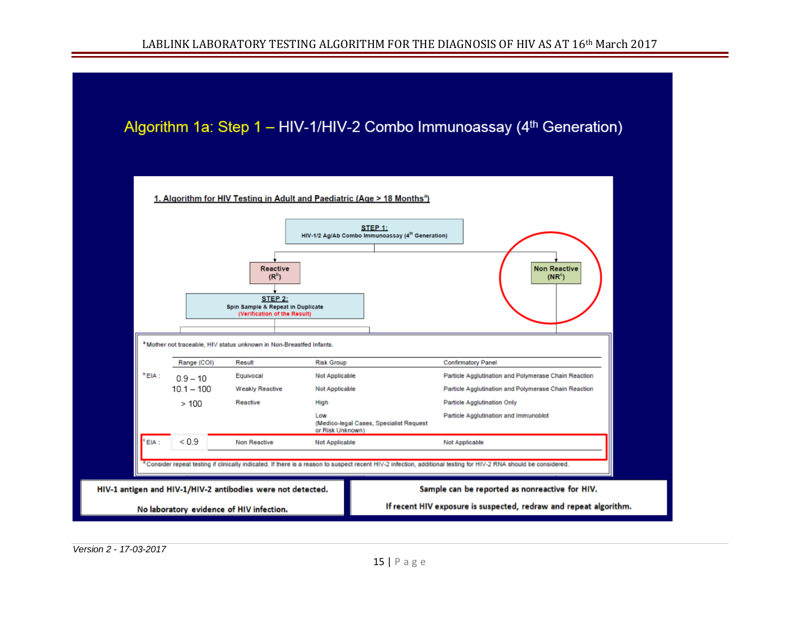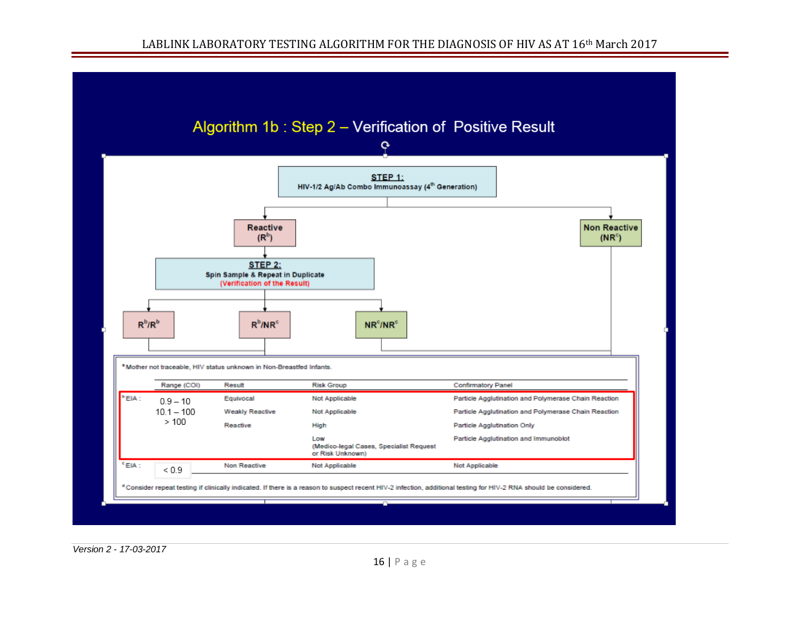#### LABLINK LABORATORY TESTING ALGORITHM FOR THE DIAGNOSIS OF HIV AS AT 16<sup>th</sup> March 2017

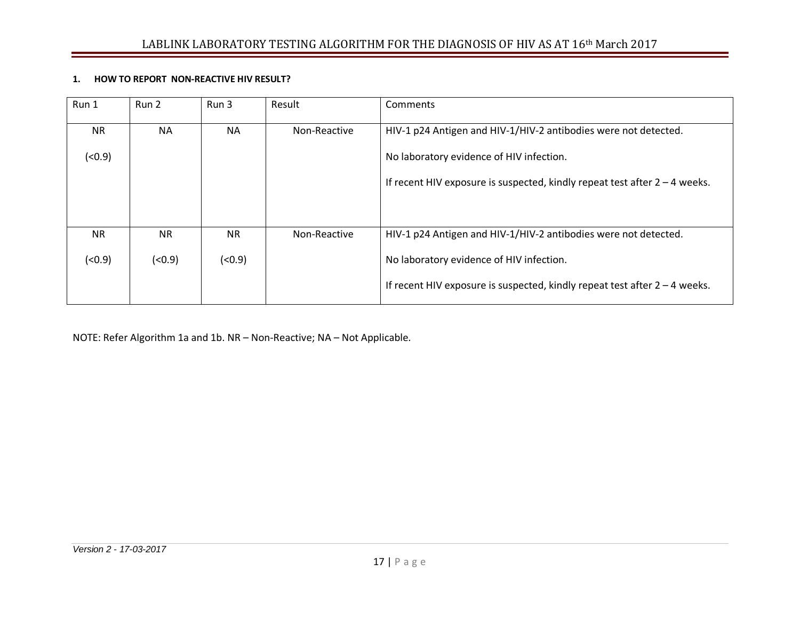#### **1. HOW TO REPORT NON-REACTIVE HIV RESULT?**

| Run 1     | Run 2     | Run 3     | Result       | Comments                                                                     |
|-----------|-----------|-----------|--------------|------------------------------------------------------------------------------|
| <b>NR</b> | <b>NA</b> | <b>NA</b> | Non-Reactive | HIV-1 p24 Antigen and HIV-1/HIV-2 antibodies were not detected.              |
| (0.9)     |           |           |              | No laboratory evidence of HIV infection.                                     |
|           |           |           |              | If recent HIV exposure is suspected, kindly repeat test after $2 - 4$ weeks. |
|           |           |           |              |                                                                              |
| <b>NR</b> | <b>NR</b> | <b>NR</b> | Non-Reactive | HIV-1 p24 Antigen and HIV-1/HIV-2 antibodies were not detected.              |
| (0.9)     | (0.9)     | (< 0.9)   |              | No laboratory evidence of HIV infection.                                     |
|           |           |           |              | If recent HIV exposure is suspected, kindly repeat test after $2 - 4$ weeks. |

NOTE: Refer Algorithm 1a and 1b. NR – Non-Reactive; NA – Not Applicable.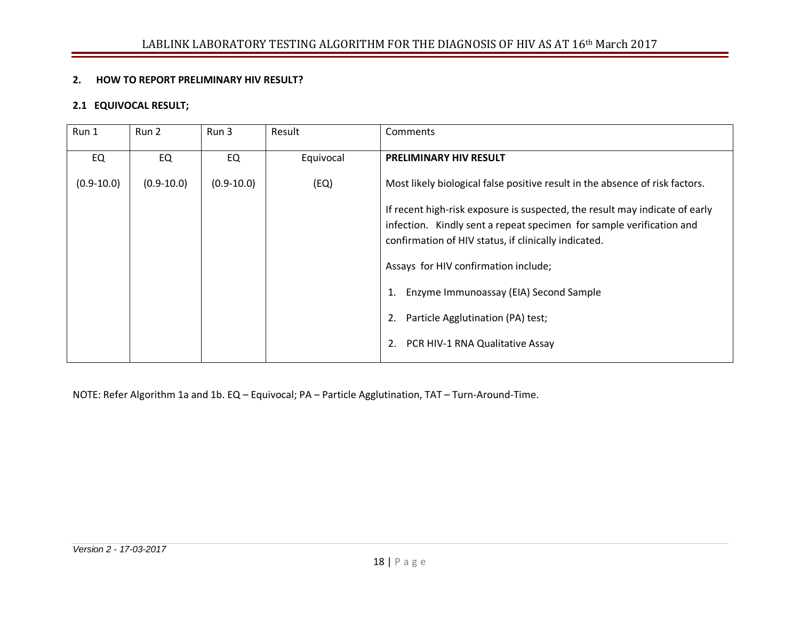#### **2. HOW TO REPORT PRELIMINARY HIV RESULT?**

#### **2.1 EQUIVOCAL RESULT;**

| Run 1          | Run 2          | Run 3          | Result    | Comments                                                                                                                                                                                                                                                                                                                                                                                |
|----------------|----------------|----------------|-----------|-----------------------------------------------------------------------------------------------------------------------------------------------------------------------------------------------------------------------------------------------------------------------------------------------------------------------------------------------------------------------------------------|
| EQ             | EQ             | EQ             | Equivocal | <b>PRELIMINARY HIV RESULT</b>                                                                                                                                                                                                                                                                                                                                                           |
| $(0.9 - 10.0)$ | $(0.9 - 10.0)$ | $(0.9 - 10.0)$ | (EQ)      | Most likely biological false positive result in the absence of risk factors.                                                                                                                                                                                                                                                                                                            |
|                |                |                |           | If recent high-risk exposure is suspected, the result may indicate of early<br>infection. Kindly sent a repeat specimen for sample verification and<br>confirmation of HIV status, if clinically indicated.<br>Assays for HIV confirmation include;<br>Enzyme Immunoassay (EIA) Second Sample<br>1.<br>Particle Agglutination (PA) test;<br>2.<br>PCR HIV-1 RNA Qualitative Assay<br>2. |

NOTE: Refer Algorithm 1a and 1b. EQ – Equivocal; PA – Particle Agglutination, TAT – Turn-Around-Time.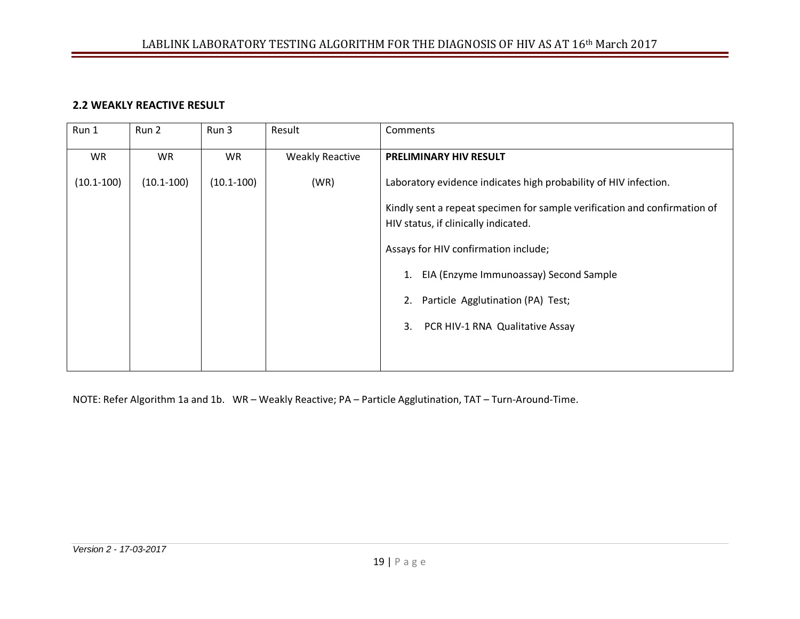#### **2.2 WEAKLY REACTIVE RESULT**

| Run 1          | Run 2          | Run 3          | Result                 | Comments                                                                                                          |
|----------------|----------------|----------------|------------------------|-------------------------------------------------------------------------------------------------------------------|
| <b>WR</b>      | <b>WR</b>      | WR             | <b>Weakly Reactive</b> | PRELIMINARY HIV RESULT                                                                                            |
| $(10.1 - 100)$ | $(10.1 - 100)$ | $(10.1 - 100)$ | (WR)                   | Laboratory evidence indicates high probability of HIV infection.                                                  |
|                |                |                |                        | Kindly sent a repeat specimen for sample verification and confirmation of<br>HIV status, if clinically indicated. |
|                |                |                |                        | Assays for HIV confirmation include;                                                                              |
|                |                |                |                        | EIA (Enzyme Immunoassay) Second Sample                                                                            |
|                |                |                |                        | Particle Agglutination (PA) Test;<br>2.                                                                           |
|                |                |                |                        | PCR HIV-1 RNA Qualitative Assay<br>3.                                                                             |
|                |                |                |                        |                                                                                                                   |

NOTE: Refer Algorithm 1a and 1b. WR – Weakly Reactive; PA – Particle Agglutination, TAT – Turn-Around-Time.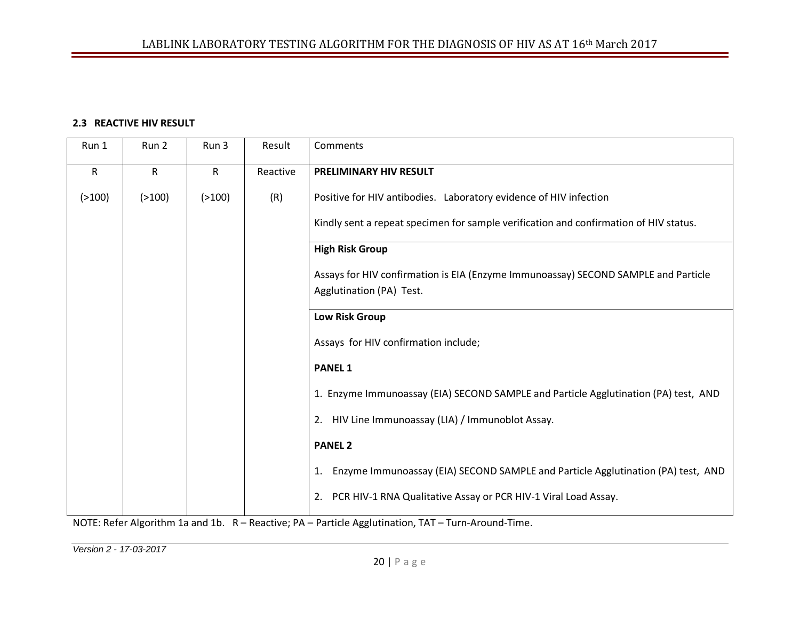#### **2.3 REACTIVE HIV RESULT**

| Run 1        | Run 2        | Run 3        | Result   | Comments                                                                                                       |
|--------------|--------------|--------------|----------|----------------------------------------------------------------------------------------------------------------|
| $\mathsf{R}$ | $\mathsf{R}$ | $\mathsf{R}$ | Reactive | PRELIMINARY HIV RESULT                                                                                         |
| ( > 100)     | ( > 100)     | ( > 100)     | (R)      | Positive for HIV antibodies. Laboratory evidence of HIV infection                                              |
|              |              |              |          | Kindly sent a repeat specimen for sample verification and confirmation of HIV status.                          |
|              |              |              |          | <b>High Risk Group</b>                                                                                         |
|              |              |              |          | Assays for HIV confirmation is EIA (Enzyme Immunoassay) SECOND SAMPLE and Particle<br>Agglutination (PA) Test. |
|              |              |              |          |                                                                                                                |
|              |              |              |          | <b>Low Risk Group</b>                                                                                          |
|              |              |              |          | Assays for HIV confirmation include;                                                                           |
|              |              |              |          | <b>PANEL 1</b>                                                                                                 |
|              |              |              |          | 1. Enzyme Immunoassay (EIA) SECOND SAMPLE and Particle Agglutination (PA) test, AND                            |
|              |              |              |          | 2. HIV Line Immunoassay (LIA) / Immunoblot Assay.                                                              |
|              |              |              |          | <b>PANEL 2</b>                                                                                                 |
|              |              |              |          | Enzyme Immunoassay (EIA) SECOND SAMPLE and Particle Agglutination (PA) test, AND<br>1.                         |
|              |              |              |          | PCR HIV-1 RNA Qualitative Assay or PCR HIV-1 Viral Load Assay.<br>2.                                           |
|              |              |              |          | MOTE: Defeu Algerithus 1e and 1h - D. Dentius: DA - Dentiale Agalytication TAT - Type Angyrod Times            |

NOTE: Refer Algorithm 1a and 1b. R – Reactive; PA – Particle Agglutination, TAT – Turn-Around-Time.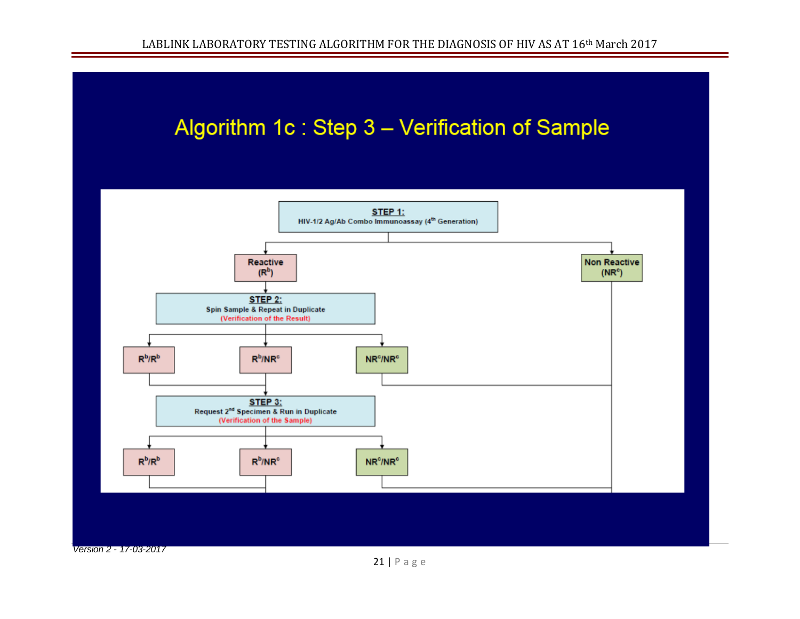## Algorithm 1c: Step 3 - Verification of Sample



21 | Page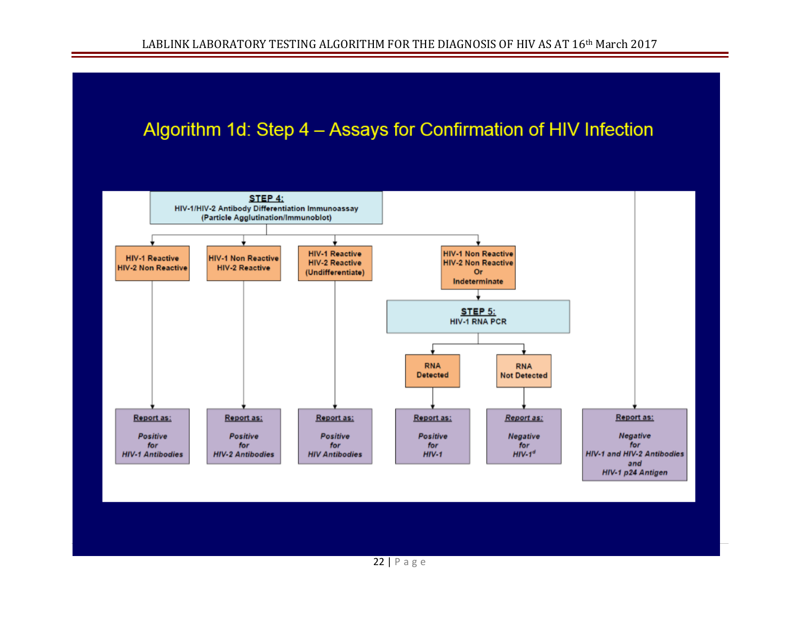## Algorithm 1d: Step 4 - Assays for Confirmation of HIV Infection

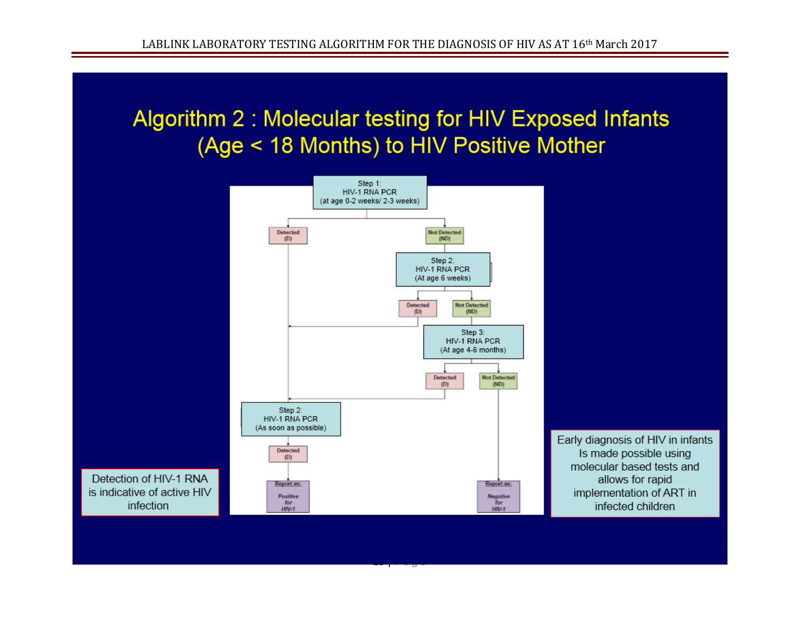## Algorithm 2: Molecular testing for HIV Exposed Infants (Age < 18 Months) to HIV Positive Mother



23 | Page 1910